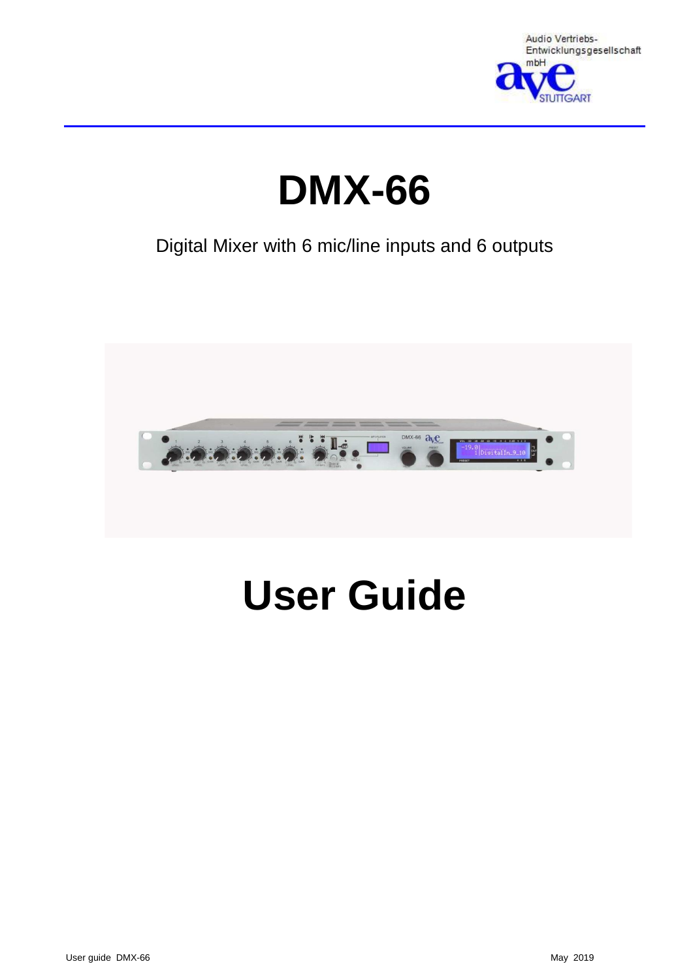

# **DMX-66**

# Digital Mixer with 6 mic/line inputs and 6 outputs



# **User Guide**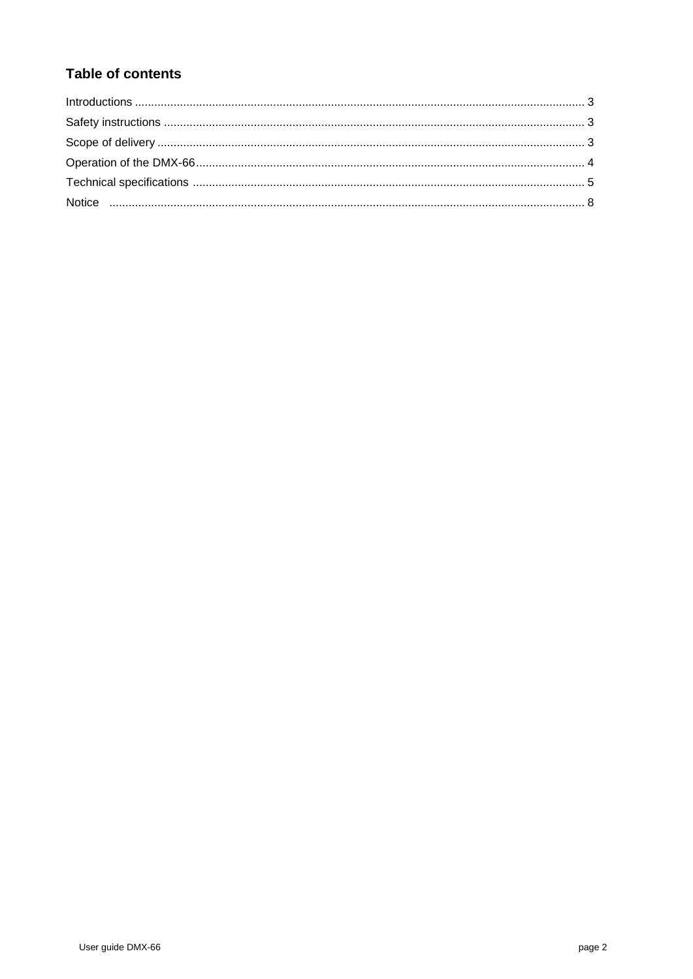# **Table of contents**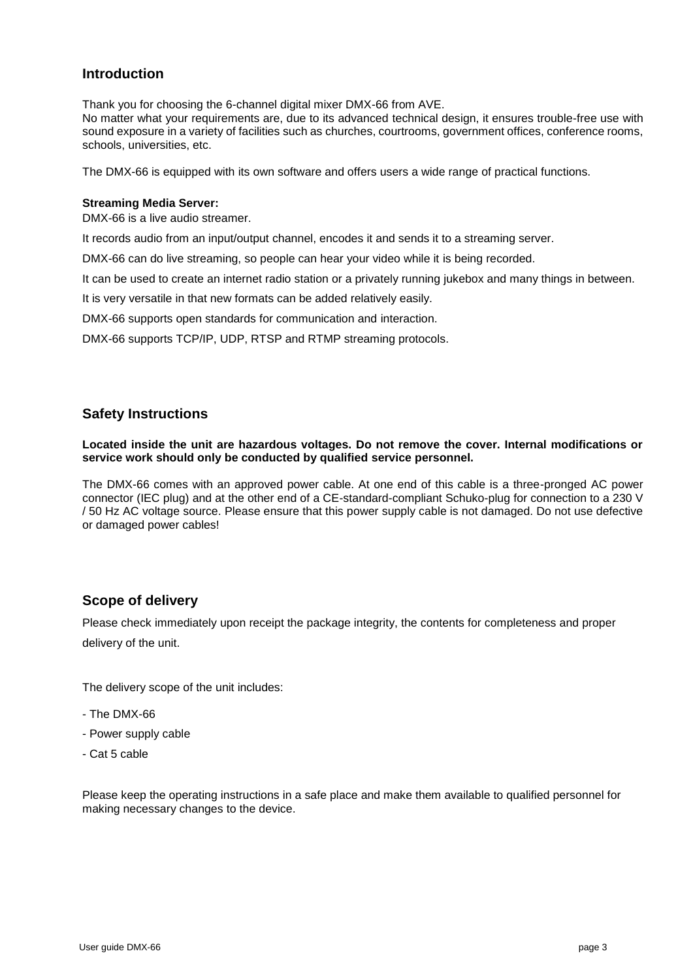### **Introduction**

Thank you for choosing the 6-channel digital mixer DMX-66 from AVE.

No matter what your requirements are, due to its advanced technical design, it ensures trouble-free use with sound exposure in a variety of facilities such as churches, courtrooms, government offices, conference rooms, schools, universities, etc.

The DMX-66 is equipped with its own software and offers users a wide range of practical functions.

#### **Streaming Media Server:**

DMX-66 is a live audio streamer.

It records audio from an input/output channel, encodes it and sends it to a streaming server.

DMX-66 can do live streaming, so people can hear your video while it is being recorded.

It can be used to create an internet radio station or a privately running jukebox and many things in between.

It is very versatile in that new formats can be added relatively easily.

DMX-66 supports open standards for communication and interaction.

DMX-66 supports TCP/IP, UDP, RTSP and RTMP streaming protocols.

#### **Safety Instructions**

**Located inside the unit are hazardous voltages. Do not remove the cover. Internal modifications or service work should only be conducted by qualified service personnel.**

The DMX-66 comes with an approved power cable. At one end of this cable is a three-pronged AC power connector (IEC plug) and at the other end of a CE-standard-compliant Schuko-plug for connection to a 230 V / 50 Hz AC voltage source. Please ensure that this power supply cable is not damaged. Do not use defective or damaged power cables!

#### **Scope of delivery**

Please check immediately upon receipt the package integrity, the contents for completeness and proper delivery of the unit.

The delivery scope of the unit includes:

- The DMX-66
- Power supply cable
- Cat 5 cable

Please keep the operating instructions in a safe place and make them available to qualified personnel for making necessary changes to the device.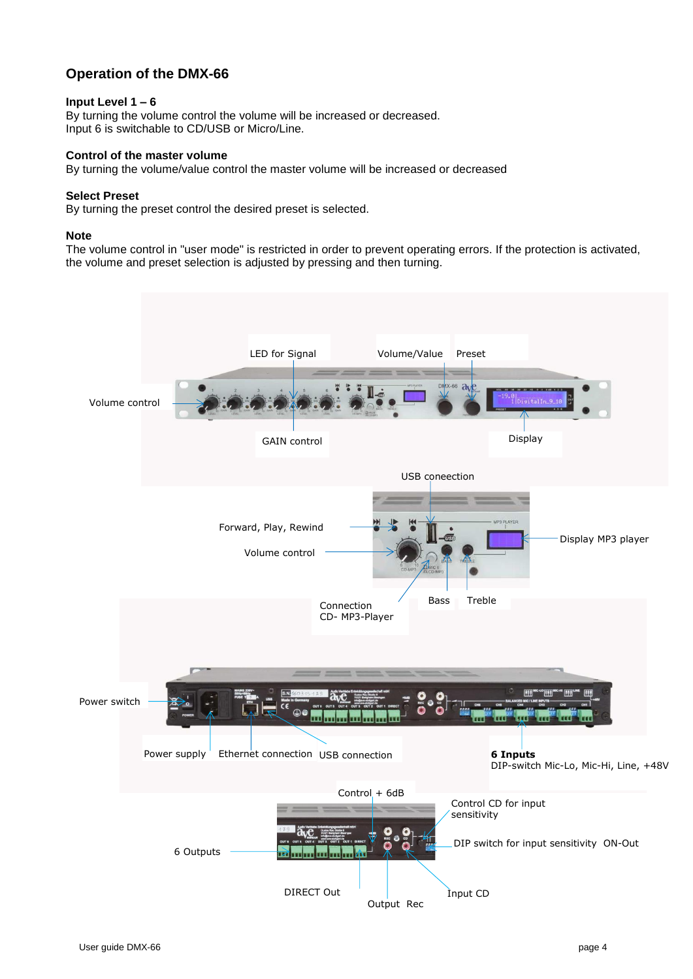## **Operation of the DMX-66**

#### **Input Level 1 – 6**

By turning the volume control the volume will be increased or decreased. Input 6 is switchable to CD/USB or Micro/Line.

#### **Control of the master volume**

By turning the volume/value control the master volume will be increased or decreased

#### **Select Preset**

By turning the preset control the desired preset is selected.

#### **Note**

The volume control in "user mode" is restricted in order to prevent operating errors. If the protection is activated, the volume and preset selection is adjusted by pressing and then turning.

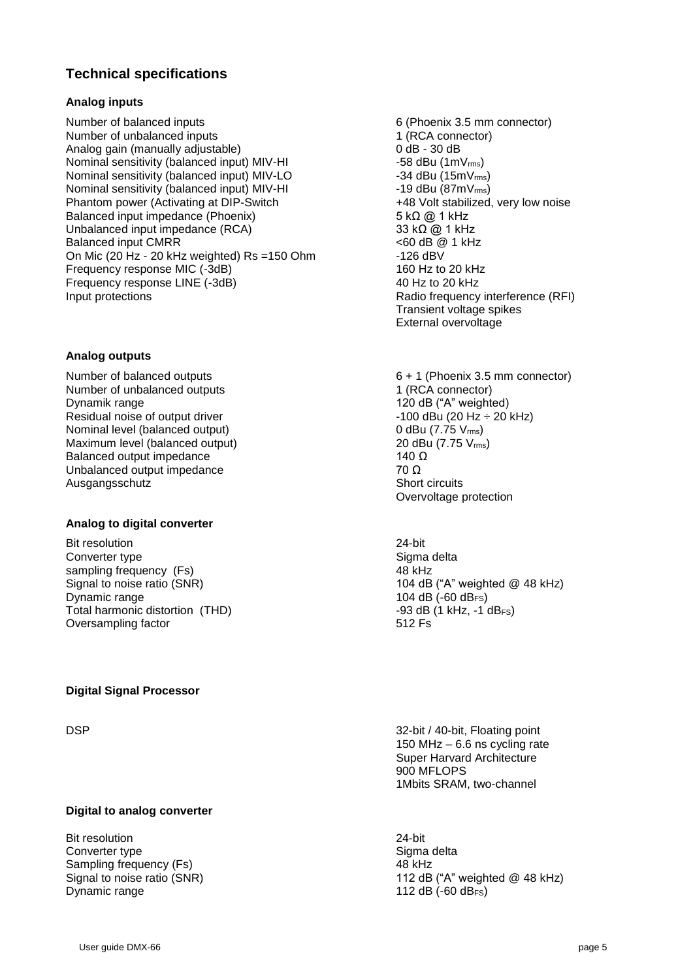### **Technical specifications**

#### **Analog inputs**

Number of balanced inputs **6** (Phoenix 3.5 mm connector) Number of unbalanced inputs 1 (RCA connector)<br>
Analog gain (manually adjustable) 0 dB - 30 dB Analog gain (manually adjustable) Nominal sensitivity (balanced input) MIV-HI -58 dBu (1mV<sub>rms</sub>) Nominal sensitivity (balanced input) MIV-LO  $-34$  dBu (15mV<sub>ms</sub>) Nominal sensitivity (balanced input) MIV-HI  $\sim$  -19 dBu (87mV $_{\rm rms}$ ) Phantom power (Activating at DIP-Switch  $+48$  Volt stabilized, very low noise Balanced input impedance (Phoenix) 5 kΩ @ 1 kHz Unbalanced input impedance (RCA) 33 kΩ @ 1 kHz Balanced input CMRR <60 dB @ 1 kHz On Mic (20 Hz - 20 kHz weighted) Rs =150 Ohm -126 dBV Frequency response MIC (-3dB) 160 Hz to 20 kHz Frequency response LINE (-3dB) 40 Hz to 20 kHz Input protections **Input protections** and *Input protections* **Radio frequency interference (RFI)** 

#### **Analog outputs**

Number of balanced outputs 6 + 1 (Phoenix 3.5 mm connector) Number of unbalanced outputs 1 (RCA connector) Dynamik range 120 dB ("A" weighted) Residual noise of output driver  $-100$  dBu (20 Hz  $\div$  20 kHz) Nominal level (balanced output) 0 dBu (7.75 V<sub>rms</sub>) Maximum level (balanced output) 20 dBu (7.75 V<sub>rms</sub>) Balanced output impedance 140  $\Omega$ Unbalanced output impedance 70  $\Omega$ Ausgangsschutz Short circuits

#### **Analog to digital converter**

Bit resolution 24-bit Converter type **Sigma** delta sampling frequency (Fs) 48 kHz Dynamic range 104 dB (-60 dB<sub>FS</sub>) Total harmonic distortion (THD)  $-93$  dB (1 kHz, -1 dB<sub>FS</sub>) Oversampling factor 612 Fs

#### **Digital Signal Processor**

#### **Digital to analog converter**

Bit resolution 24-bit Converter type Sigma delta Sampling frequency (Fs) 48 kHz Dynamic range 112 dB (-60 dB<sub>FS</sub>)

Transient voltage spikes External overvoltage

Overvoltage protection

Signal to noise ratio (SNR) Signal to noise ratio (SNR) 30 and 104 dB ("A" weighted @ 48 kHz)

DSP 32-bit / 40-bit, Floating point 150 MHz – 6.6 ns cycling rate Super Harvard Architecture 900 MFLOPS 1Mbits SRAM, two-channel

Signal to noise ratio (SNR) Signal to noise ratio (SNR) 3.12 dB ("A" weighted @ 48 kHz)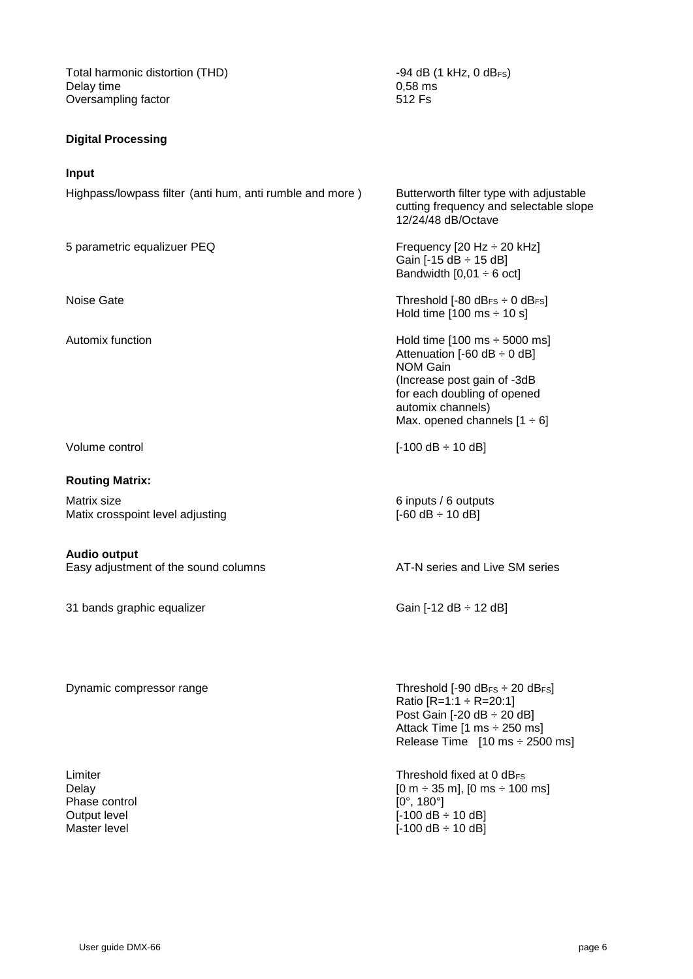Total harmonic distortion (THD)  $-94$  dB (1 kHz, 0 dB<sub>FS</sub>)<br>Delay time 0.58 ms Delay time 0,58 ms<br>
0,58 ms<br>
0,58 ms<br>
0,58 ms<br>
512 Fs Oversampling factor

#### **Digital Processing**

#### **Input**

Highpass/lowpass filter (anti hum, anti rumble and more ) Butterworth filter type with adjustable

#### **Routing Matrix:**

Matrix size 6 inputs / 6 outputs Matix crosspoint level adjusting  $[-60 \text{ dB} \div 10 \text{ dB}]$ 

#### **Audio output**

Easy adjustment of the sound columns AT-N series and Live SM series

31 bands graphic equalizer Gain  $[-12 \text{ dB} \div 12 \text{ dB}]$ 

Dynamic compressor range Threshold [-90 dB<sub>FS</sub>] extending the Threshold [-90 dB<sub>FS</sub>] extending the Threshold [-90 dB<sub>FS</sub>]

Phase control [0°, 180°]

cutting frequency and selectable slope 12/24/48 dB/Octave

5 parametric equalizuer PEQ Frequency [20 Hz  $\div$  20 kHz] Gain  $[-15$  dB  $\div$  15 dB] Bandwidth  $[0,01 \div 6$  oct]

Noise Gate **Threshold [-80 dB<sub>FS</sub>**  $\div$  **0 dB<sub>FS</sub>]** Hold time  $[100 \text{ ms} \div 10 \text{ s}]$ 

Automix function Automix function Automix function Attenuation  $[-60 \text{ dB} \div 0 \text{ dB}]$ NOM Gain (Increase post gain of -3dB for each doubling of opened automix channels) Max. opened channels  $[1 \div 6]$ 

Volume control [-100 dB ÷ 10 dB]

Ratio  $[R=1:1 \div R=20:1]$ Post Gain [-20 dB ÷ 20 dB] Attack Time [1 ms ÷ 250 ms] Release Time  $[10 \text{ ms} \div 2500 \text{ ms}]$ 

Limiter **Threshold fixed at 0 dB<sub>FS</sub>** Threshold fixed at 0 dB<sub>FS</sub> Delay  $[0 \text{ m} \div 35 \text{ m}]$ ,  $[0 \text{ m} \div 100 \text{ ms}]$ Output level **COULD COULD COULD COULD COULD COULD** [-100 dB ÷ 10 dB] Master level **Master level Master level CO** is the set of the set of the set of the set of the set of the set of the set of the set of the set of the set of the set of the set of the set of the set of the set of the se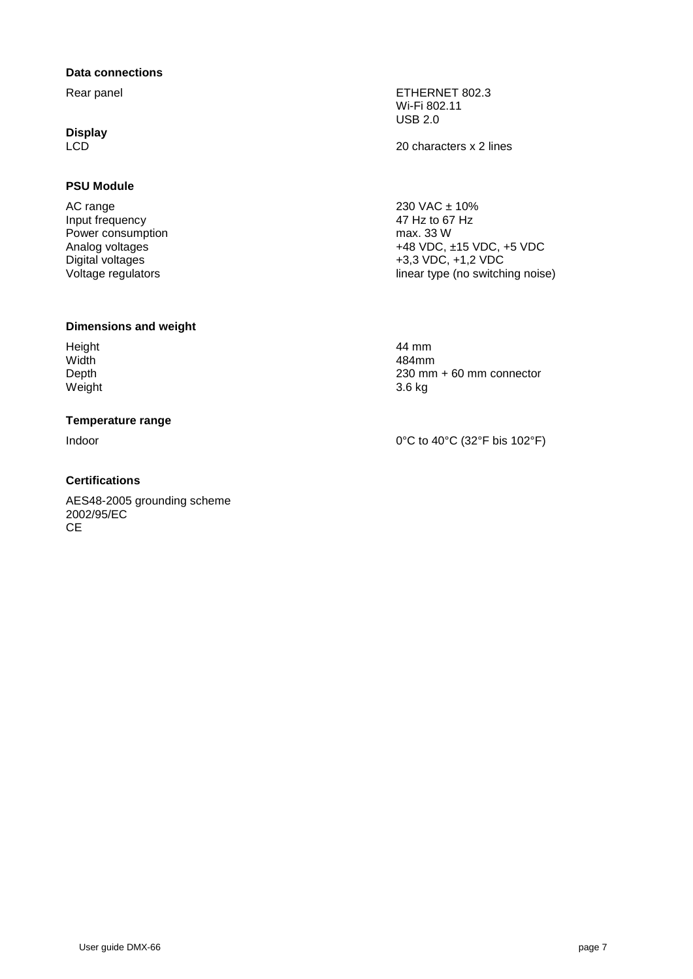#### **Data connections**

**Display**

#### **PSU Module**

 $AC$  range  $230 \text{ VAC} \pm 10\%$ <br>
Input frequency  $47 \text{ Hz}$  to  $67 \text{ Hz}$ Input frequency Power consumption max. 33 W

#### **Dimensions and weight**

Height 44 mm Width 484mm Weight 3.6 kg

#### **Temperature range**

#### **Certifications**

AES48-2005 grounding scheme 2002/95/EC **CE** 

Rear panel **ETHERNET 802.3** Wi-Fi 802.11 USB 2.0

LCD 20 characters x 2 lines

Analog voltages +48 VDC, ±15 VDC, +5 VDC<br>Digital voltages +5,3 VDC, +1,2 VDC Digital voltages<br>
Voltage regulators<br>
Voltage regulators<br>  $\begin{array}{ccc}\n & +3,3 & \text{VDC}, +1,2 & \text{VDC} \\
\end{array}$ linear type (no switching noise)

Depth 230 mm + 60 mm connector

Indoor  $0^{\circ}$ C to 40 $^{\circ}$ C (32 $^{\circ}$ F bis 102 $^{\circ}$ F)